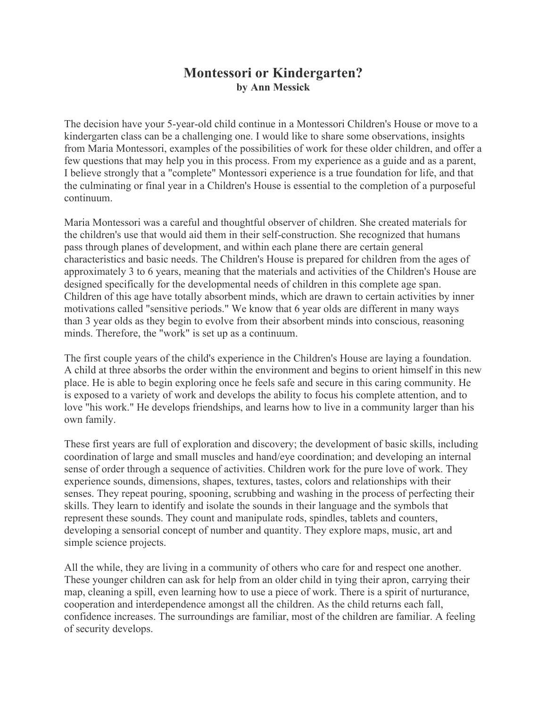## **Montessori or Kindergarten? by Ann Messick**

The decision have your 5-year-old child continue in a Montessori Children's House or move to a kindergarten class can be a challenging one. I would like to share some observations, insights from Maria Montessori, examples of the possibilities of work for these older children, and offer a few questions that may help you in this process. From my experience as a guide and as a parent, I believe strongly that a "complete" Montessori experience is a true foundation for life, and that the culminating or final year in a Children's House is essential to the completion of a purposeful continuum.

Maria Montessori was a careful and thoughtful observer of children. She created materials for the children's use that would aid them in their self-construction. She recognized that humans pass through planes of development, and within each plane there are certain general characteristics and basic needs. The Children's House is prepared for children from the ages of approximately 3 to 6 years, meaning that the materials and activities of the Children's House are designed specifically for the developmental needs of children in this complete age span. Children of this age have totally absorbent minds, which are drawn to certain activities by inner motivations called "sensitive periods." We know that 6 year olds are different in many ways than 3 year olds as they begin to evolve from their absorbent minds into conscious, reasoning minds. Therefore, the "work" is set up as a continuum.

The first couple years of the child's experience in the Children's House are laying a foundation. A child at three absorbs the order within the environment and begins to orient himself in this new place. He is able to begin exploring once he feels safe and secure in this caring community. He is exposed to a variety of work and develops the ability to focus his complete attention, and to love "his work." He develops friendships, and learns how to live in a community larger than his own family.

These first years are full of exploration and discovery; the development of basic skills, including coordination of large and small muscles and hand/eye coordination; and developing an internal sense of order through a sequence of activities. Children work for the pure love of work. They experience sounds, dimensions, shapes, textures, tastes, colors and relationships with their senses. They repeat pouring, spooning, scrubbing and washing in the process of perfecting their skills. They learn to identify and isolate the sounds in their language and the symbols that represent these sounds. They count and manipulate rods, spindles, tablets and counters, developing a sensorial concept of number and quantity. They explore maps, music, art and simple science projects.

All the while, they are living in a community of others who care for and respect one another. These younger children can ask for help from an older child in tying their apron, carrying their map, cleaning a spill, even learning how to use a piece of work. There is a spirit of nurturance, cooperation and interdependence amongst all the children. As the child returns each fall, confidence increases. The surroundings are familiar, most of the children are familiar. A feeling of security develops.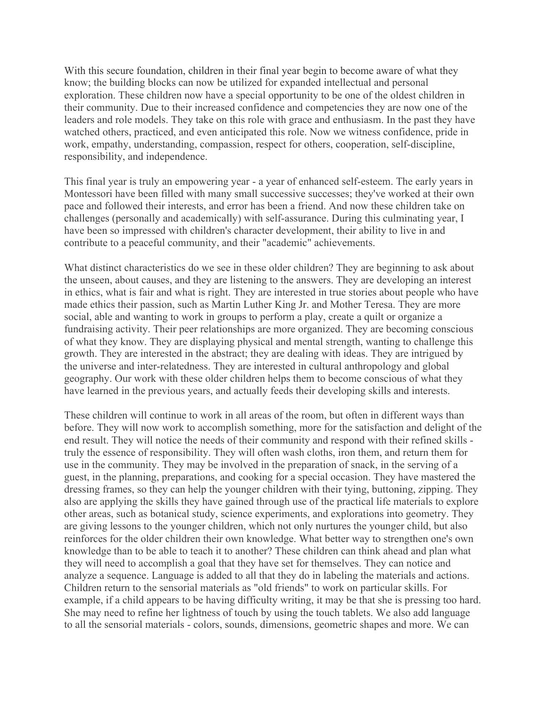With this secure foundation, children in their final year begin to become aware of what they know; the building blocks can now be utilized for expanded intellectual and personal exploration. These children now have a special opportunity to be one of the oldest children in their community. Due to their increased confidence and competencies they are now one of the leaders and role models. They take on this role with grace and enthusiasm. In the past they have watched others, practiced, and even anticipated this role. Now we witness confidence, pride in work, empathy, understanding, compassion, respect for others, cooperation, self-discipline, responsibility, and independence.

This final year is truly an empowering year - a year of enhanced self-esteem. The early years in Montessori have been filled with many small successive successes; they've worked at their own pace and followed their interests, and error has been a friend. And now these children take on challenges (personally and academically) with self-assurance. During this culminating year, I have been so impressed with children's character development, their ability to live in and contribute to a peaceful community, and their "academic" achievements.

What distinct characteristics do we see in these older children? They are beginning to ask about the unseen, about causes, and they are listening to the answers. They are developing an interest in ethics, what is fair and what is right. They are interested in true stories about people who have made ethics their passion, such as Martin Luther King Jr. and Mother Teresa. They are more social, able and wanting to work in groups to perform a play, create a quilt or organize a fundraising activity. Their peer relationships are more organized. They are becoming conscious of what they know. They are displaying physical and mental strength, wanting to challenge this growth. They are interested in the abstract; they are dealing with ideas. They are intrigued by the universe and inter-relatedness. They are interested in cultural anthropology and global geography. Our work with these older children helps them to become conscious of what they have learned in the previous years, and actually feeds their developing skills and interests.

These children will continue to work in all areas of the room, but often in different ways than before. They will now work to accomplish something, more for the satisfaction and delight of the end result. They will notice the needs of their community and respond with their refined skills truly the essence of responsibility. They will often wash cloths, iron them, and return them for use in the community. They may be involved in the preparation of snack, in the serving of a guest, in the planning, preparations, and cooking for a special occasion. They have mastered the dressing frames, so they can help the younger children with their tying, buttoning, zipping. They also are applying the skills they have gained through use of the practical life materials to explore other areas, such as botanical study, science experiments, and explorations into geometry. They are giving lessons to the younger children, which not only nurtures the younger child, but also reinforces for the older children their own knowledge. What better way to strengthen one's own knowledge than to be able to teach it to another? These children can think ahead and plan what they will need to accomplish a goal that they have set for themselves. They can notice and analyze a sequence. Language is added to all that they do in labeling the materials and actions. Children return to the sensorial materials as "old friends" to work on particular skills. For example, if a child appears to be having difficulty writing, it may be that she is pressing too hard. She may need to refine her lightness of touch by using the touch tablets. We also add language to all the sensorial materials - colors, sounds, dimensions, geometric shapes and more. We can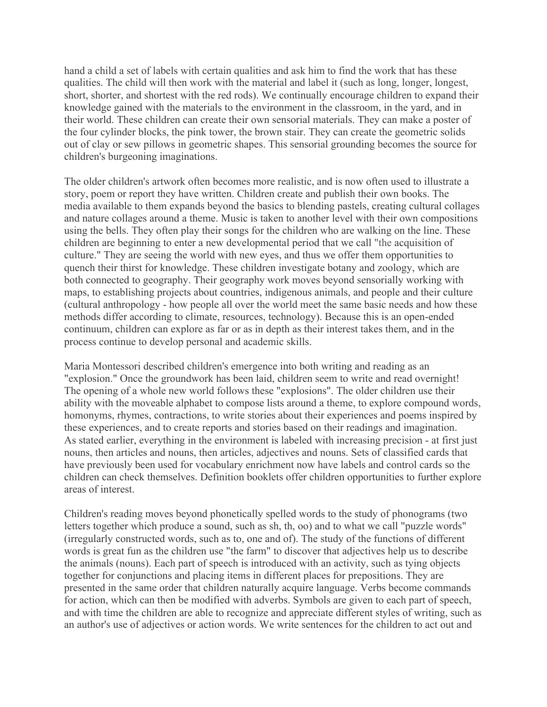hand a child a set of labels with certain qualities and ask him to find the work that has these qualities. The child will then work with the material and label it (such as long, longer, longest, short, shorter, and shortest with the red rods). We continually encourage children to expand their knowledge gained with the materials to the environment in the classroom, in the yard, and in their world. These children can create their own sensorial materials. They can make a poster of the four cylinder blocks, the pink tower, the brown stair. They can create the geometric solids out of clay or sew pillows in geometric shapes. This sensorial grounding becomes the source for children's burgeoning imaginations.

The older children's artwork often becomes more realistic, and is now often used to illustrate a story, poem or report they have written. Children create and publish their own books. The media available to them expands beyond the basics to blending pastels, creating cultural collages and nature collages around a theme. Music is taken to another level with their own compositions using the bells. They often play their songs for the children who are walking on the line. These children are beginning to enter a new developmental period that we call "the acquisition of culture." They are seeing the world with new eyes, and thus we offer them opportunities to quench their thirst for knowledge. These children investigate botany and zoology, which are both connected to geography. Their geography work moves beyond sensorially working with maps, to establishing projects about countries, indigenous animals, and people and their culture (cultural anthropology - how people all over the world meet the same basic needs and how these methods differ according to climate, resources, technology). Because this is an open-ended continuum, children can explore as far or as in depth as their interest takes them, and in the process continue to develop personal and academic skills.

Maria Montessori described children's emergence into both writing and reading as an "explosion." Once the groundwork has been laid, children seem to write and read overnight! The opening of a whole new world follows these "explosions". The older children use their ability with the moveable alphabet to compose lists around a theme, to explore compound words, homonyms, rhymes, contractions, to write stories about their experiences and poems inspired by these experiences, and to create reports and stories based on their readings and imagination. As stated earlier, everything in the environment is labeled with increasing precision - at first just nouns, then articles and nouns, then articles, adjectives and nouns. Sets of classified cards that have previously been used for vocabulary enrichment now have labels and control cards so the children can check themselves. Definition booklets offer children opportunities to further explore areas of interest.

Children's reading moves beyond phonetically spelled words to the study of phonograms (two letters together which produce a sound, such as sh, th, oo) and to what we call "puzzle words" (irregularly constructed words, such as to, one and of). The study of the functions of different words is great fun as the children use "the farm" to discover that adjectives help us to describe the animals (nouns). Each part of speech is introduced with an activity, such as tying objects together for conjunctions and placing items in different places for prepositions. They are presented in the same order that children naturally acquire language. Verbs become commands for action, which can then be modified with adverbs. Symbols are given to each part of speech, and with time the children are able to recognize and appreciate different styles of writing, such as an author's use of adjectives or action words. We write sentences for the children to act out and